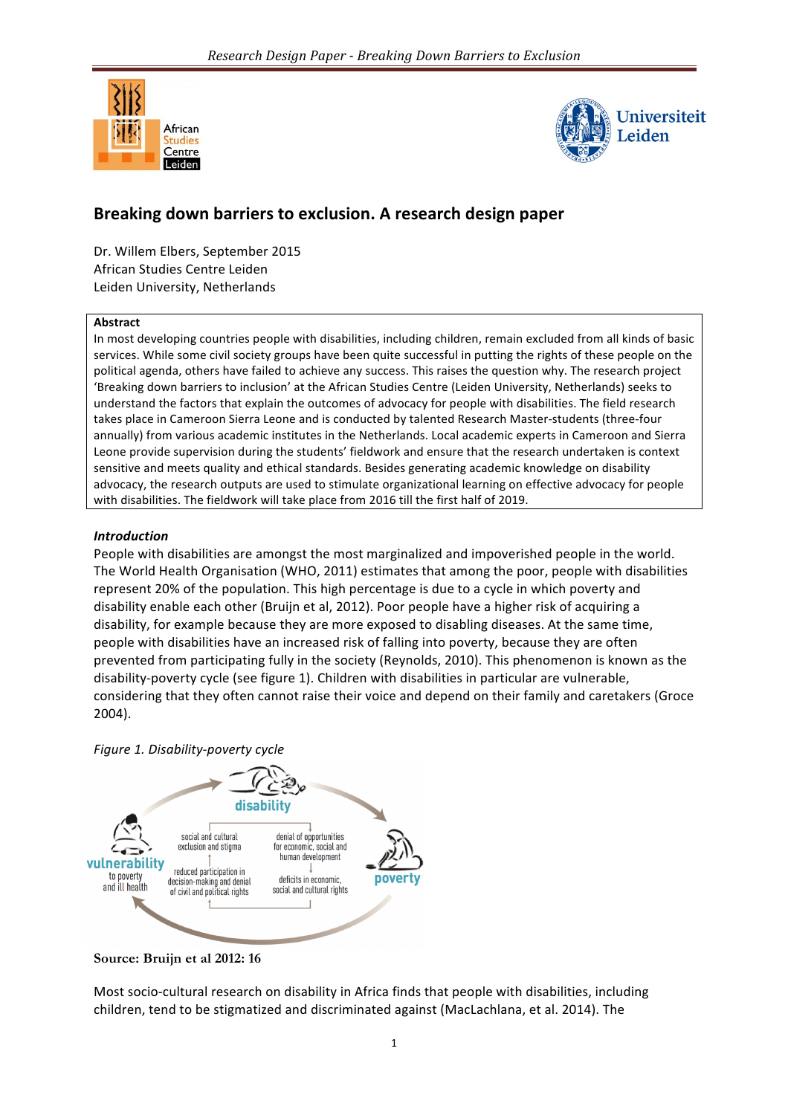



# **Breaking down barriers to exclusion. A research design paper**

Dr. Willem Elbers, September 2015 African Studies Centre Leiden Leiden University, Netherlands

#### **Abstract**

In most developing countries people with disabilities, including children, remain excluded from all kinds of basic services. While some civil society groups have been quite successful in putting the rights of these people on the political agenda, others have failed to achieve any success. This raises the question why. The research project 'Breaking down barriers to inclusion' at the African Studies Centre (Leiden University, Netherlands) seeks to understand the factors that explain the outcomes of advocacy for people with disabilities. The field research takes place in Cameroon Sierra Leone and is conducted by talented Research Master-students (three-four annually) from various academic institutes in the Netherlands. Local academic experts in Cameroon and Sierra Leone provide supervision during the students' fieldwork and ensure that the research undertaken is context sensitive and meets quality and ethical standards. Besides generating academic knowledge on disability advocacy, the research outputs are used to stimulate organizational learning on effective advocacy for people with disabilities. The fieldwork will take place from 2016 till the first half of 2019.

### *Introduction*

People with disabilities are amongst the most marginalized and impoverished people in the world. The World Health Organisation (WHO, 2011) estimates that among the poor, people with disabilities represent 20% of the population. This high percentage is due to a cycle in which poverty and disability enable each other (Bruijn et al, 2012). Poor people have a higher risk of acquiring a disability, for example because they are more exposed to disabling diseases. At the same time, people with disabilities have an increased risk of falling into poverty, because they are often prevented from participating fully in the society (Reynolds, 2010). This phenomenon is known as the disability-poverty cycle (see figure 1). Children with disabilities in particular are vulnerable, considering that they often cannot raise their voice and depend on their family and caretakers (Groce 2004). 

*Figure 1. Disability-poverty cycle*



**Source: Bruijn et al 2012: 16**

Most socio-cultural research on disability in Africa finds that people with disabilities, including children, tend to be stigmatized and discriminated against (MacLachlana, et al. 2014). The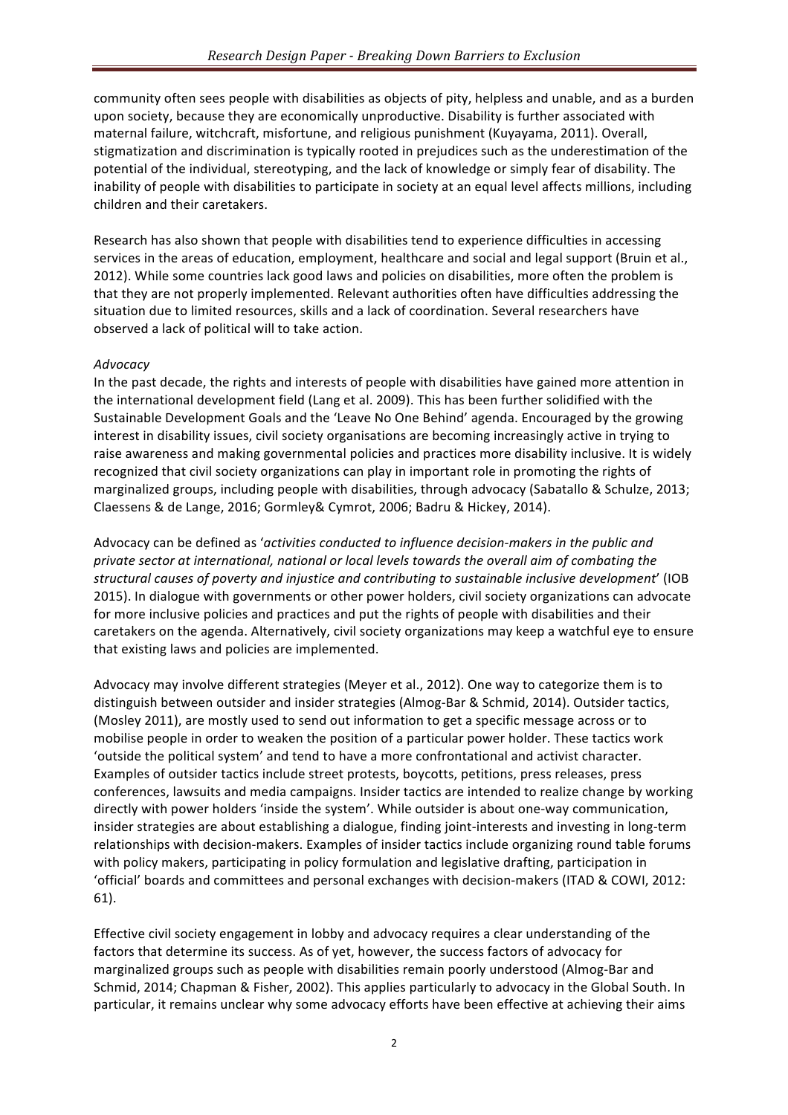community often sees people with disabilities as objects of pity, helpless and unable, and as a burden upon society, because they are economically unproductive. Disability is further associated with maternal failure, witchcraft, misfortune, and religious punishment (Kuyayama, 2011). Overall, stigmatization and discrimination is typically rooted in prejudices such as the underestimation of the potential of the individual, stereotyping, and the lack of knowledge or simply fear of disability. The inability of people with disabilities to participate in society at an equal level affects millions, including children and their caretakers.

Research has also shown that people with disabilities tend to experience difficulties in accessing services in the areas of education, employment, healthcare and social and legal support (Bruin et al., 2012). While some countries lack good laws and policies on disabilities, more often the problem is that they are not properly implemented. Relevant authorities often have difficulties addressing the situation due to limited resources, skills and a lack of coordination. Several researchers have observed a lack of political will to take action.

### *Advocacy*

In the past decade, the rights and interests of people with disabilities have gained more attention in the international development field (Lang et al. 2009). This has been further solidified with the Sustainable Development Goals and the 'Leave No One Behind' agenda. Encouraged by the growing interest in disability issues, civil society organisations are becoming increasingly active in trying to raise awareness and making governmental policies and practices more disability inclusive. It is widely recognized that civil society organizations can play in important role in promoting the rights of marginalized groups, including people with disabilities, through advocacy (Sabatallo & Schulze, 2013; Claessens & de Lange, 2016; Gormley& Cymrot, 2006; Badru & Hickey, 2014).

Advocacy can be defined as 'activities conducted to influence decision-makers in the public and private sector at international, national or local levels towards the overall aim of combating the *structural causes of poverty and injustice and contributing to sustainable inclusive development'* (IOB 2015). In dialogue with governments or other power holders, civil society organizations can advocate for more inclusive policies and practices and put the rights of people with disabilities and their caretakers on the agenda. Alternatively, civil society organizations may keep a watchful eye to ensure that existing laws and policies are implemented.

Advocacy may involve different strategies (Meyer et al., 2012). One way to categorize them is to distinguish between outsider and insider strategies (Almog-Bar & Schmid, 2014). Outsider tactics, (Mosley 2011), are mostly used to send out information to get a specific message across or to mobilise people in order to weaken the position of a particular power holder. These tactics work 'outside the political system' and tend to have a more confrontational and activist character. Examples of outsider tactics include street protests, boycotts, petitions, press releases, press conferences, lawsuits and media campaigns. Insider tactics are intended to realize change by working directly with power holders 'inside the system'. While outsider is about one-way communication, insider strategies are about establishing a dialogue, finding joint-interests and investing in long-term relationships with decision-makers. Examples of insider tactics include organizing round table forums with policy makers, participating in policy formulation and legislative drafting, participation in 'official' boards and committees and personal exchanges with decision-makers (ITAD & COWI, 2012: 61).

Effective civil society engagement in lobby and advocacy requires a clear understanding of the factors that determine its success. As of yet, however, the success factors of advocacy for marginalized groups such as people with disabilities remain poorly understood (Almog-Bar and Schmid, 2014; Chapman & Fisher, 2002). This applies particularly to advocacy in the Global South. In particular, it remains unclear why some advocacy efforts have been effective at achieving their aims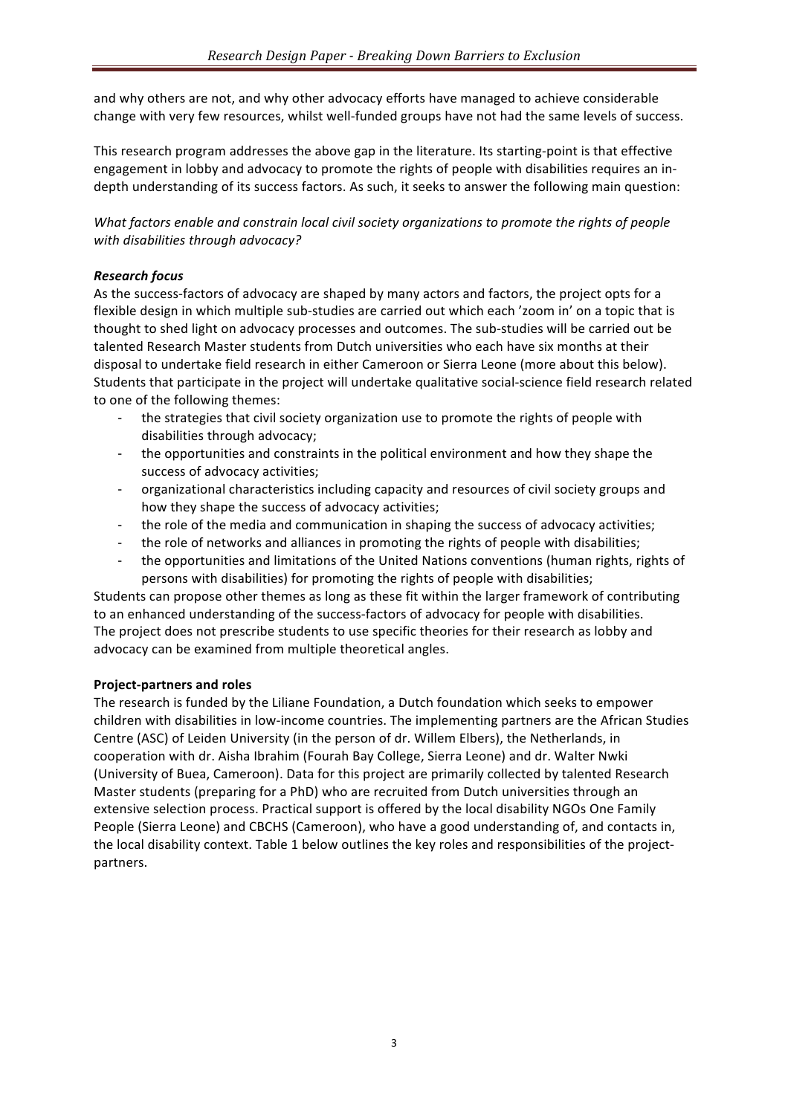and why others are not, and why other advocacy efforts have managed to achieve considerable change with very few resources, whilst well-funded groups have not had the same levels of success.

This research program addresses the above gap in the literature. Its starting-point is that effective engagement in lobby and advocacy to promote the rights of people with disabilities requires an indepth understanding of its success factors. As such, it seeks to answer the following main question:

*What factors* enable and constrain local civil society organizations to promote the rights of people *with disabilities through advocacy?*

## *Research focus*

As the success-factors of advocacy are shaped by many actors and factors, the project opts for a flexible design in which multiple sub-studies are carried out which each 'zoom in' on a topic that is thought to shed light on advocacy processes and outcomes. The sub-studies will be carried out be talented Research Master students from Dutch universities who each have six months at their disposal to undertake field research in either Cameroon or Sierra Leone (more about this below). Students that participate in the project will undertake qualitative social-science field research related to one of the following themes:

- the strategies that civil society organization use to promote the rights of people with disabilities through advocacy;
- the opportunities and constraints in the political environment and how they shape the success of advocacy activities;
- organizational characteristics including capacity and resources of civil society groups and how they shape the success of advocacy activities;
- the role of the media and communication in shaping the success of advocacy activities;
- the role of networks and alliances in promoting the rights of people with disabilities;
- the opportunities and limitations of the United Nations conventions (human rights, rights of persons with disabilities) for promoting the rights of people with disabilities;

Students can propose other themes as long as these fit within the larger framework of contributing to an enhanced understanding of the success-factors of advocacy for people with disabilities. The project does not prescribe students to use specific theories for their research as lobby and advocacy can be examined from multiple theoretical angles.

#### **Project-partners and roles**

The research is funded by the Liliane Foundation, a Dutch foundation which seeks to empower children with disabilities in low-income countries. The implementing partners are the African Studies Centre (ASC) of Leiden University (in the person of dr. Willem Elbers), the Netherlands, in cooperation with dr. Aisha Ibrahim (Fourah Bay College, Sierra Leone) and dr. Walter Nwki (University of Buea, Cameroon). Data for this project are primarily collected by talented Research Master students (preparing for a PhD) who are recruited from Dutch universities through an extensive selection process. Practical support is offered by the local disability NGOs One Family People (Sierra Leone) and CBCHS (Cameroon), who have a good understanding of, and contacts in, the local disability context. Table 1 below outlines the key roles and responsibilities of the projectpartners.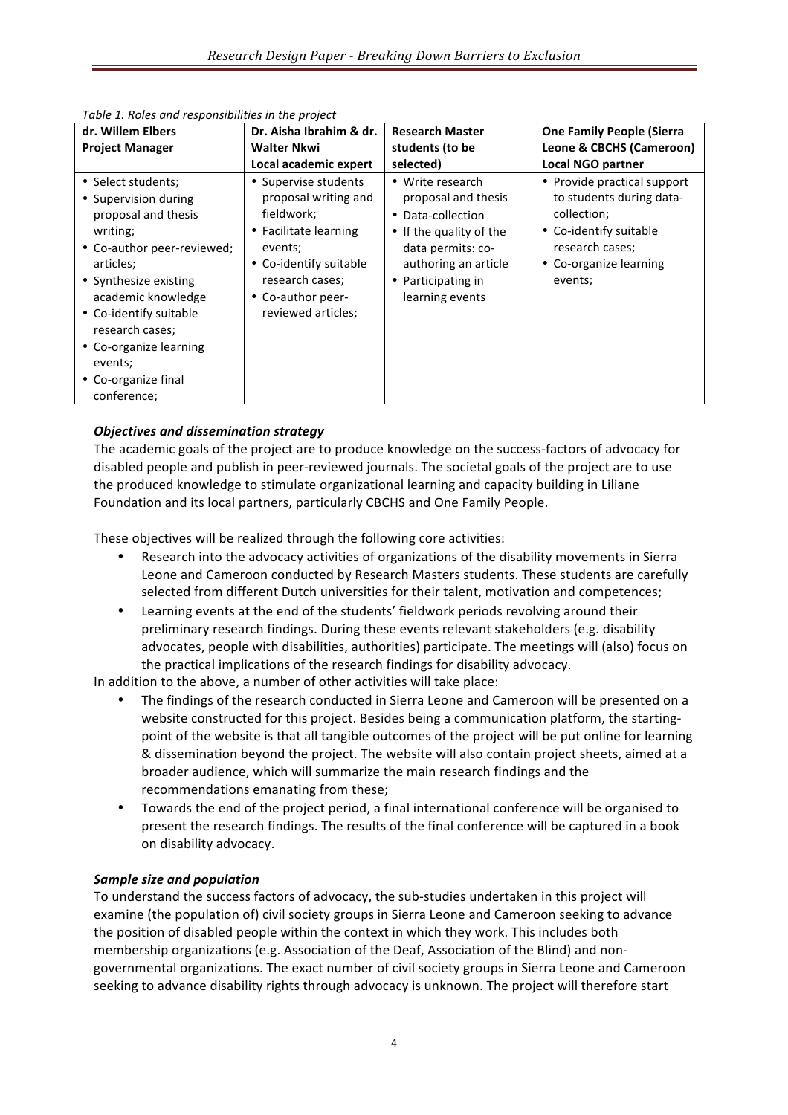| dr. Willem Elbers                                                                                                                                                                                                                                                                               | Dr. Aisha Ibrahim & dr.                                                                                                                                                                              | <b>Research Master</b>                                                                                                                                                        | <b>One Family People (Sierra</b>                                                                                                                         |
|-------------------------------------------------------------------------------------------------------------------------------------------------------------------------------------------------------------------------------------------------------------------------------------------------|------------------------------------------------------------------------------------------------------------------------------------------------------------------------------------------------------|-------------------------------------------------------------------------------------------------------------------------------------------------------------------------------|----------------------------------------------------------------------------------------------------------------------------------------------------------|
| <b>Project Manager</b>                                                                                                                                                                                                                                                                          | <b>Walter Nkwi</b>                                                                                                                                                                                   | students (to be                                                                                                                                                               | Leone & CBCHS (Cameroon)                                                                                                                                 |
|                                                                                                                                                                                                                                                                                                 | Local academic expert                                                                                                                                                                                | selected)                                                                                                                                                                     | <b>Local NGO partner</b>                                                                                                                                 |
| • Select students;<br>• Supervision during<br>proposal and thesis<br>writing;<br>• Co-author peer-reviewed;<br>articles;<br>• Synthesize existing<br>academic knowledge<br>• Co-identify suitable<br>research cases;<br>• Co-organize learning<br>events;<br>• Co-organize final<br>conference; | • Supervise students<br>proposal writing and<br>fieldwork;<br>• Facilitate learning<br>events;<br>Co-identify suitable<br>$\bullet$<br>research cases;<br>Co-author peer-<br>٠<br>reviewed articles; | • Write research<br>proposal and thesis<br>• Data-collection<br>• If the quality of the<br>data permits: co-<br>authoring an article<br>• Participating in<br>learning events | • Provide practical support<br>to students during data-<br>collection;<br>• Co-identify suitable<br>research cases;<br>• Co-organize learning<br>events; |

Table 1. Roles and responsibilities in the project

# *Objectives and dissemination strategy*

The academic goals of the project are to produce knowledge on the success-factors of advocacy for disabled people and publish in peer-reviewed journals. The societal goals of the project are to use the produced knowledge to stimulate organizational learning and capacity building in Liliane Foundation and its local partners, particularly CBCHS and One Family People.

These objectives will be realized through the following core activities:

- Research into the advocacy activities of organizations of the disability movements in Sierra Leone and Cameroon conducted by Research Masters students. These students are carefully selected from different Dutch universities for their talent, motivation and competences;
- Learning events at the end of the students' fieldwork periods revolving around their preliminary research findings. During these events relevant stakeholders (e.g. disability advocates, people with disabilities, authorities) participate. The meetings will (also) focus on the practical implications of the research findings for disability advocacy.

In addition to the above, a number of other activities will take place:

- The findings of the research conducted in Sierra Leone and Cameroon will be presented on a website constructed for this project. Besides being a communication platform, the startingpoint of the website is that all tangible outcomes of the project will be put online for learning & dissemination beyond the project. The website will also contain project sheets, aimed at a broader audience, which will summarize the main research findings and the recommendations emanating from these;
- Towards the end of the project period, a final international conference will be organised to present the research findings. The results of the final conference will be captured in a book on disability advocacy.

#### *Sample size and population*

To understand the success factors of advocacy, the sub-studies undertaken in this project will examine (the population of) civil society groups in Sierra Leone and Cameroon seeking to advance the position of disabled people within the context in which they work. This includes both membership organizations (e.g. Association of the Deaf, Association of the Blind) and nongovernmental organizations. The exact number of civil society groups in Sierra Leone and Cameroon seeking to advance disability rights through advocacy is unknown. The project will therefore start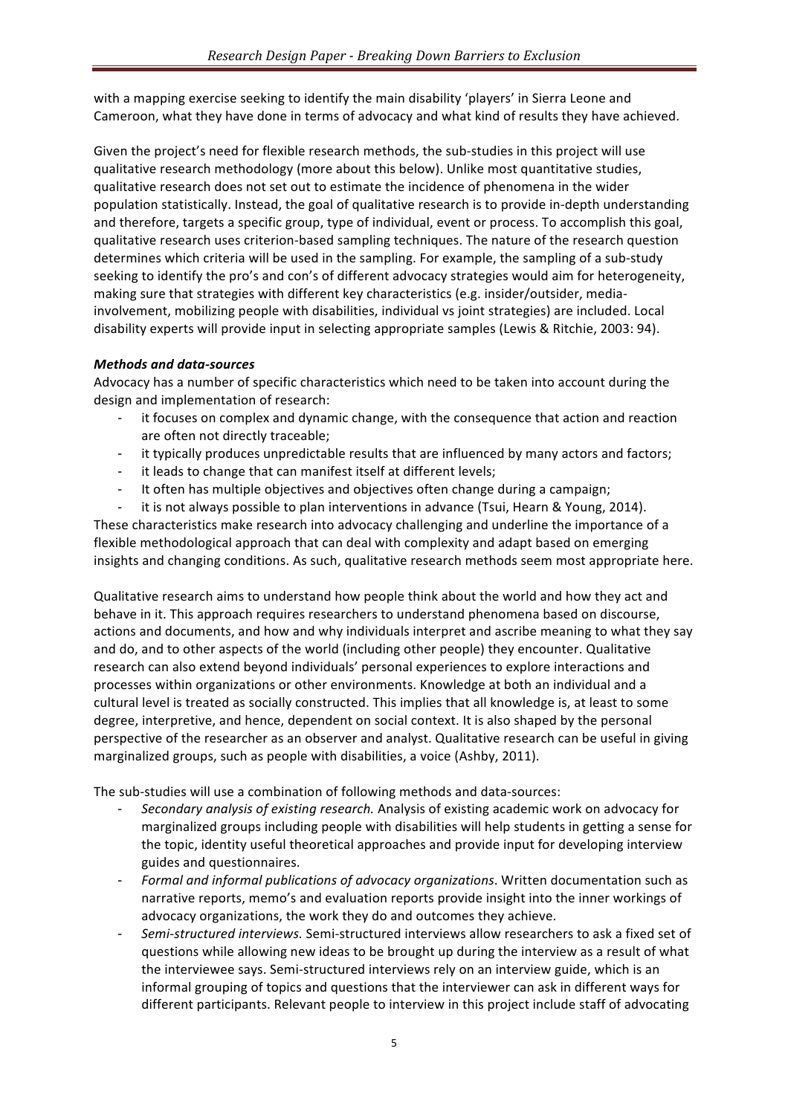with a mapping exercise seeking to identify the main disability 'players' in Sierra Leone and Cameroon, what they have done in terms of advocacy and what kind of results they have achieved.

Given the project's need for flexible research methods, the sub-studies in this project will use qualitative research methodology (more about this below). Unlike most quantitative studies, qualitative research does not set out to estimate the incidence of phenomena in the wider population statistically. Instead, the goal of qualitative research is to provide in-depth understanding and therefore, targets a specific group, type of individual, event or process. To accomplish this goal, qualitative research uses criterion-based sampling techniques. The nature of the research question determines which criteria will be used in the sampling. For example, the sampling of a sub-study seeking to identify the pro's and con's of different advocacy strategies would aim for heterogeneity, making sure that strategies with different key characteristics (e.g. insider/outsider, mediainvolvement, mobilizing people with disabilities, individual vs joint strategies) are included. Local disability experts will provide input in selecting appropriate samples (Lewis & Ritchie, 2003: 94).

# *Methods and data-sources*

Advocacy has a number of specific characteristics which need to be taken into account during the design and implementation of research:

- it focuses on complex and dynamic change, with the consequence that action and reaction are often not directly traceable;
- it typically produces unpredictable results that are influenced by many actors and factors;
- it leads to change that can manifest itself at different levels;
- It often has multiple objectives and objectives often change during a campaign;
- it is not always possible to plan interventions in advance (Tsui, Hearn & Young, 2014).

These characteristics make research into advocacy challenging and underline the importance of a flexible methodological approach that can deal with complexity and adapt based on emerging insights and changing conditions. As such, qualitative research methods seem most appropriate here.

Qualitative research aims to understand how people think about the world and how they act and behave in it. This approach requires researchers to understand phenomena based on discourse, actions and documents, and how and why individuals interpret and ascribe meaning to what they say and do, and to other aspects of the world (including other people) they encounter. Qualitative research can also extend beyond individuals' personal experiences to explore interactions and processes within organizations or other environments. Knowledge at both an individual and a cultural level is treated as socially constructed. This implies that all knowledge is, at least to some degree, interpretive, and hence, dependent on social context. It is also shaped by the personal perspective of the researcher as an observer and analyst. Qualitative research can be useful in giving marginalized groups, such as people with disabilities, a voice (Ashby, 2011).

The sub-studies will use a combination of following methods and data-sources:

- *Secondary analysis of existing research.* Analysis of existing academic work on advocacy for marginalized groups including people with disabilities will help students in getting a sense for the topic, identity useful theoretical approaches and provide input for developing interview guides and questionnaires.
- *Formal and informal publications of advocacy organizations*. Written documentation such as narrative reports, memo's and evaluation reports provide insight into the inner workings of advocacy organizations, the work they do and outcomes they achieve.
- Semi-structured interviews. Semi-structured interviews allow researchers to ask a fixed set of questions while allowing new ideas to be brought up during the interview as a result of what the interviewee says. Semi-structured interviews rely on an interview guide, which is an informal grouping of topics and questions that the interviewer can ask in different ways for different participants. Relevant people to interview in this project include staff of advocating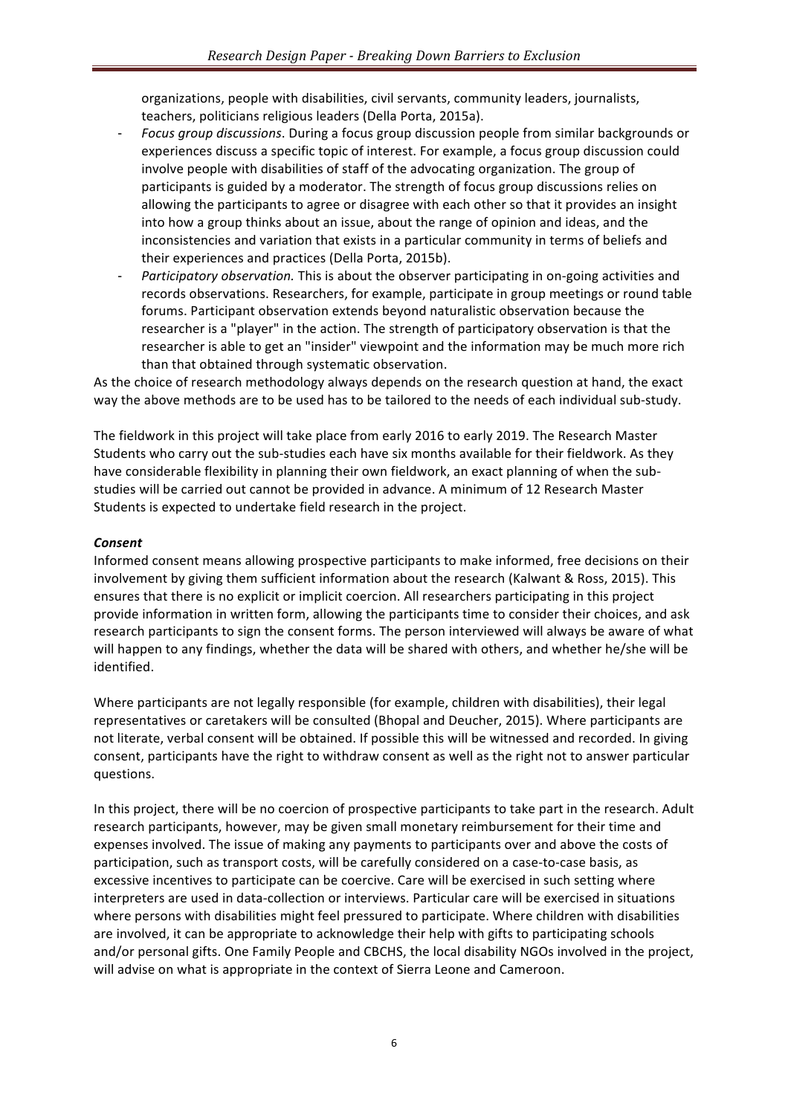organizations, people with disabilities, civil servants, community leaders, journalists, teachers, politicians religious leaders (Della Porta, 2015a).

- *Focus group discussions*. During a focus group discussion people from similar backgrounds or experiences discuss a specific topic of interest. For example, a focus group discussion could involve people with disabilities of staff of the advocating organization. The group of participants is guided by a moderator. The strength of focus group discussions relies on allowing the participants to agree or disagree with each other so that it provides an insight into how a group thinks about an issue, about the range of opinion and ideas, and the inconsistencies and variation that exists in a particular community in terms of beliefs and their experiences and practices (Della Porta, 2015b).
- Participatory observation. This is about the observer participating in on-going activities and records observations. Researchers, for example, participate in group meetings or round table forums. Participant observation extends beyond naturalistic observation because the researcher is a "player" in the action. The strength of participatory observation is that the researcher is able to get an "insider" viewpoint and the information may be much more rich than that obtained through systematic observation.

As the choice of research methodology always depends on the research question at hand, the exact way the above methods are to be used has to be tailored to the needs of each individual sub-study.

The fieldwork in this project will take place from early 2016 to early 2019. The Research Master Students who carry out the sub-studies each have six months available for their fieldwork. As they have considerable flexibility in planning their own fieldwork, an exact planning of when the substudies will be carried out cannot be provided in advance. A minimum of 12 Research Master Students is expected to undertake field research in the project.

### *Consent*

Informed consent means allowing prospective participants to make informed, free decisions on their involvement by giving them sufficient information about the research (Kalwant & Ross, 2015). This ensures that there is no explicit or implicit coercion. All researchers participating in this project provide information in written form, allowing the participants time to consider their choices, and ask research participants to sign the consent forms. The person interviewed will always be aware of what will happen to any findings, whether the data will be shared with others, and whether he/she will be identified.

Where participants are not legally responsible (for example, children with disabilities), their legal representatives or caretakers will be consulted (Bhopal and Deucher, 2015). Where participants are not literate, verbal consent will be obtained. If possible this will be witnessed and recorded. In giving consent, participants have the right to withdraw consent as well as the right not to answer particular questions.

In this project, there will be no coercion of prospective participants to take part in the research. Adult research participants, however, may be given small monetary reimbursement for their time and expenses involved. The issue of making any payments to participants over and above the costs of participation, such as transport costs, will be carefully considered on a case-to-case basis, as excessive incentives to participate can be coercive. Care will be exercised in such setting where interpreters are used in data-collection or interviews. Particular care will be exercised in situations where persons with disabilities might feel pressured to participate. Where children with disabilities are involved, it can be appropriate to acknowledge their help with gifts to participating schools and/or personal gifts. One Family People and CBCHS, the local disability NGOs involved in the project, will advise on what is appropriate in the context of Sierra Leone and Cameroon.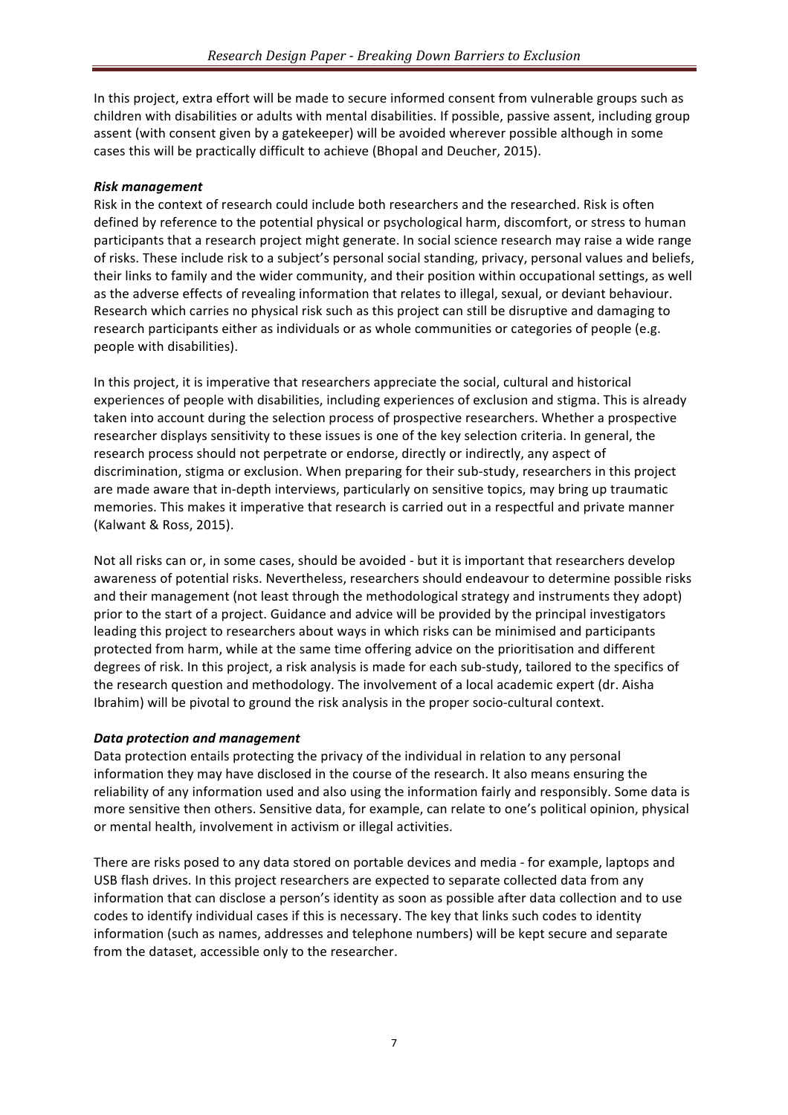In this project, extra effort will be made to secure informed consent from vulnerable groups such as children with disabilities or adults with mental disabilities. If possible, passive assent, including group assent (with consent given by a gatekeeper) will be avoided wherever possible although in some cases this will be practically difficult to achieve (Bhopal and Deucher, 2015).

### *Risk management*

Risk in the context of research could include both researchers and the researched. Risk is often defined by reference to the potential physical or psychological harm, discomfort, or stress to human participants that a research project might generate. In social science research may raise a wide range of risks. These include risk to a subject's personal social standing, privacy, personal values and beliefs, their links to family and the wider community, and their position within occupational settings, as well as the adverse effects of revealing information that relates to illegal, sexual, or deviant behaviour. Research which carries no physical risk such as this project can still be disruptive and damaging to research participants either as individuals or as whole communities or categories of people (e.g. people with disabilities).

In this project, it is imperative that researchers appreciate the social, cultural and historical experiences of people with disabilities, including experiences of exclusion and stigma. This is already taken into account during the selection process of prospective researchers. Whether a prospective researcher displays sensitivity to these issues is one of the key selection criteria. In general, the research process should not perpetrate or endorse, directly or indirectly, any aspect of discrimination, stigma or exclusion. When preparing for their sub-study, researchers in this project are made aware that in-depth interviews, particularly on sensitive topics, may bring up traumatic memories. This makes it imperative that research is carried out in a respectful and private manner (Kalwant & Ross, 2015).

Not all risks can or, in some cases, should be avoided - but it is important that researchers develop awareness of potential risks. Nevertheless, researchers should endeavour to determine possible risks and their management (not least through the methodological strategy and instruments they adopt) prior to the start of a project. Guidance and advice will be provided by the principal investigators leading this project to researchers about ways in which risks can be minimised and participants protected from harm, while at the same time offering advice on the prioritisation and different degrees of risk. In this project, a risk analysis is made for each sub-study, tailored to the specifics of the research question and methodology. The involvement of a local academic expert (dr. Aisha Ibrahim) will be pivotal to ground the risk analysis in the proper socio-cultural context.

# *Data protection and management*

Data protection entails protecting the privacy of the individual in relation to any personal information they may have disclosed in the course of the research. It also means ensuring the reliability of any information used and also using the information fairly and responsibly. Some data is more sensitive then others. Sensitive data, for example, can relate to one's political opinion, physical or mental health, involvement in activism or illegal activities.

There are risks posed to any data stored on portable devices and media - for example, laptops and USB flash drives. In this project researchers are expected to separate collected data from any information that can disclose a person's identity as soon as possible after data collection and to use codes to identify individual cases if this is necessary. The key that links such codes to identity information (such as names, addresses and telephone numbers) will be kept secure and separate from the dataset, accessible only to the researcher.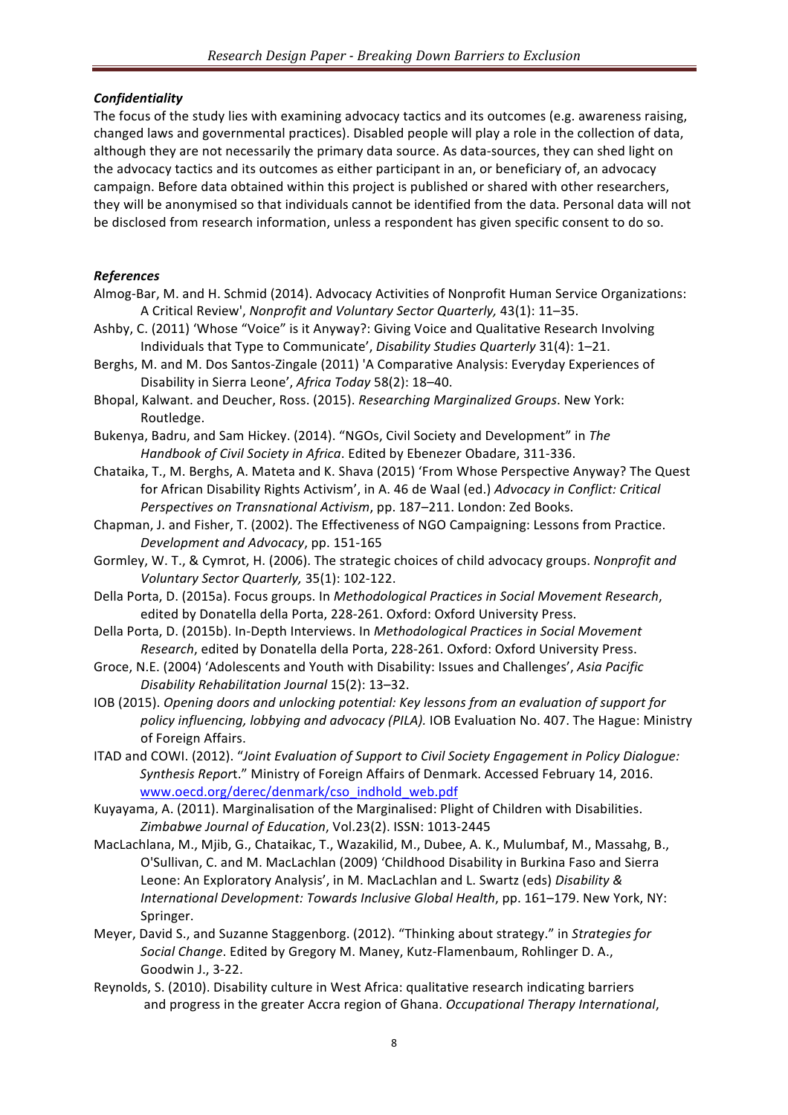# *Confidentiality*

The focus of the study lies with examining advocacy tactics and its outcomes (e.g. awareness raising, changed laws and governmental practices). Disabled people will play a role in the collection of data, although they are not necessarily the primary data source. As data-sources, they can shed light on the advocacy tactics and its outcomes as either participant in an, or beneficiary of, an advocacy campaign. Before data obtained within this project is published or shared with other researchers, they will be anonymised so that individuals cannot be identified from the data. Personal data will not be disclosed from research information, unless a respondent has given specific consent to do so.

# *References*

- Almog-Bar, M. and H. Schmid (2014). Advocacy Activities of Nonprofit Human Service Organizations: A Critical Review', *Nonprofit and Voluntary Sector Quarterly*, 43(1): 11-35.
- Ashby, C. (2011) 'Whose "Voice" is it Anyway?: Giving Voice and Qualitative Research Involving Individuals that Type to Communicate', *Disability Studies Quarterly* 31(4): 1-21.
- Berghs, M. and M. Dos Santos-Zingale (2011) 'A Comparative Analysis: Everyday Experiences of Disability in Sierra Leone', *Africa Today* 58(2): 18-40.
- Bhopal, Kalwant. and Deucher, Ross. (2015). *Researching Marginalized Groups*. New York: Routledge.
- Bukenya, Badru, and Sam Hickey. (2014). "NGOs, Civil Society and Development" in The Handbook of Civil Society in Africa. Edited by Ebenezer Obadare, 311-336.
- Chataika, T., M. Berghs, A. Mateta and K. Shava (2015) 'From Whose Perspective Anyway? The Quest for African Disability Rights Activism', in A. 46 de Waal (ed.) Advocacy in Conflict: Critical *Perspectives on Transnational Activism, pp. 187–211. London: Zed Books.*
- Chapman, J. and Fisher, T. (2002). The Effectiveness of NGO Campaigning: Lessons from Practice. *Development and Advocacy*, pp. 151-165
- Gormley, W. T., & Cymrot, H. (2006). The strategic choices of child advocacy groups. *Nonprofit and Voluntary Sector Quarterly,* 35(1): 102-122.
- Della Porta, D. (2015a). Focus groups. In *Methodological Practices in Social Movement Research*, edited by Donatella della Porta, 228-261. Oxford: Oxford University Press.
- Della Porta, D. (2015b). In-Depth Interviews. In *Methodological Practices in Social Movement Research*, edited by Donatella della Porta, 228-261. Oxford: Oxford University Press.
- Groce, N.E. (2004) 'Adolescents and Youth with Disability: Issues and Challenges', Asia Pacific *Disability Rehabilitation Journal* 15(2): 13–32.
- IOB (2015). *Opening doors and unlocking potential: Key lessons from an evaluation of support for* policy influencing, lobbying and advocacy (PILA). IOB Evaluation No. 407. The Hague: Ministry of Foreign Affairs.
- ITAD and COWI. (2012). "Joint Evaluation of Support to Civil Society Engagement in Policy Dialogue: Synthesis Report." Ministry of Foreign Affairs of Denmark. Accessed February 14, 2016. www.oecd.org/derec/denmark/cso\_indhold\_web.pdf
- Kuyayama, A. (2011). Marginalisation of the Marginalised: Plight of Children with Disabilities. *Zimbabwe Journal of Education*, Vol.23(2). ISSN: 1013-2445
- MacLachlana, M., Mjib, G., Chataikac, T., Wazakilid, M., Dubee, A. K., Mulumbaf, M., Massahg, B., O'Sullivan, C. and M. MacLachlan (2009) 'Childhood Disability in Burkina Faso and Sierra Leone: An Exploratory Analysis', in M. MacLachlan and L. Swartz (eds) *Disability & International Development: Towards Inclusive Global Health, pp. 161–179. New York, NY:* Springer.
- Meyer, David S., and Suzanne Staggenborg. (2012). "Thinking about strategy." in Strategies for *Social Change*. Edited by Gregory M. Maney, Kutz-Flamenbaum, Rohlinger D. A., Goodwin J., 3-22.
- Reynolds, S. (2010). Disability culture in West Africa: qualitative research indicating barriers and progress in the greater Accra region of Ghana. *Occupational Therapy International*,